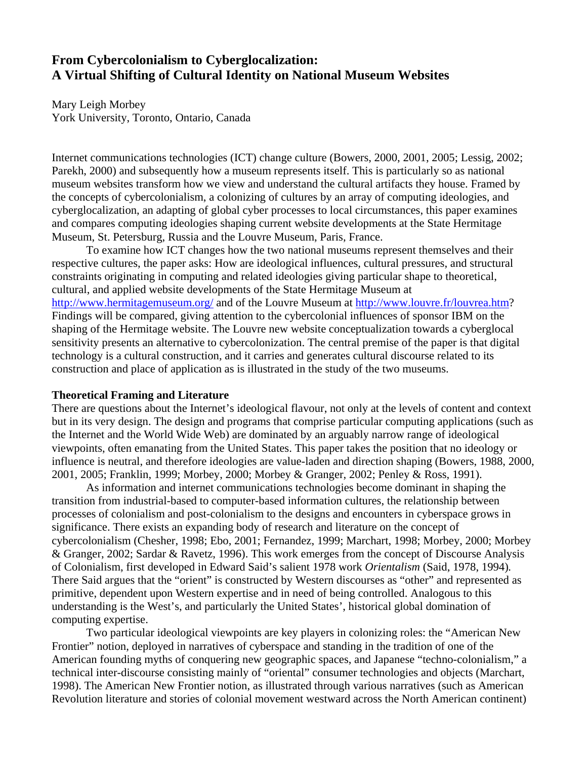# **From Cybercolonialism to Cyberglocalization: A Virtual Shifting of Cultural Identity on National Museum Websites**

Mary Leigh Morbey York University, Toronto, Ontario, Canada

Internet communications technologies (ICT) change culture (Bowers, 2000, 2001, 2005; Lessig, 2002; Parekh, 2000) and subsequently how a museum represents itself. This is particularly so as national museum websites transform how we view and understand the cultural artifacts they house. Framed by the concepts of cybercolonialism, a colonizing of cultures by an array of computing ideologies, and cyberglocalization, an adapting of global cyber processes to local circumstances, this paper examines and compares computing ideologies shaping current website developments at the State Hermitage Museum, St. Petersburg, Russia and the Louvre Museum, Paris, France.

To examine how ICT changes how the two national museums represent themselves and their respective cultures, the paper asks: How are ideological influences, cultural pressures, and structural constraints originating in computing and related ideologies giving particular shape to theoretical, cultural, and applied website developments of the State Hermitage Museum at http://www.hermitagemuseum.org/ and of the Louvre Museum at http://www.louvre.fr/louvrea.htm? Findings will be compared, giving attention to the cybercolonial influences of sponsor IBM on the shaping of the Hermitage website. The Louvre new website conceptualization towards a cyberglocal sensitivity presents an alternative to cybercolonization. The central premise of the paper is that digital technology is a cultural construction, and it carries and generates cultural discourse related to its construction and place of application as is illustrated in the study of the two museums.

#### **Theoretical Framing and Literature**

There are questions about the Internet's ideological flavour, not only at the levels of content and context but in its very design. The design and programs that comprise particular computing applications (such as the Internet and the World Wide Web) are dominated by an arguably narrow range of ideological viewpoints, often emanating from the United States. This paper takes the position that no ideology or influence is neutral, and therefore ideologies are value-laden and direction shaping (Bowers, 1988, 2000, 2001, 2005; Franklin, 1999; Morbey, 2000; Morbey & Granger, 2002; Penley & Ross, 1991).

As information and internet communications technologies become dominant in shaping the transition from industrial-based to computer-based information cultures, the relationship between processes of colonialism and post-colonialism to the designs and encounters in cyberspace grows in significance. There exists an expanding body of research and literature on the concept of cybercolonialism (Chesher, 1998; Ebo, 2001; Fernandez, 1999; Marchart, 1998; Morbey, 2000; Morbey & Granger, 2002; Sardar & Ravetz, 1996). This work emerges from the concept of Discourse Analysis of Colonialism, first developed in Edward Said's salient 1978 work *Orientalism* (Said, 1978, 1994)*.* There Said argues that the "orient" is constructed by Western discourses as "other" and represented as primitive, dependent upon Western expertise and in need of being controlled. Analogous to this understanding is the West's, and particularly the United States', historical global domination of computing expertise.

Two particular ideological viewpoints are key players in colonizing roles: the "American New Frontier" notion, deployed in narratives of cyberspace and standing in the tradition of one of the American founding myths of conquering new geographic spaces, and Japanese "techno-colonialism," a technical inter-discourse consisting mainly of "oriental" consumer technologies and objects (Marchart, 1998). The American New Frontier notion, as illustrated through various narratives (such as American Revolution literature and stories of colonial movement westward across the North American continent)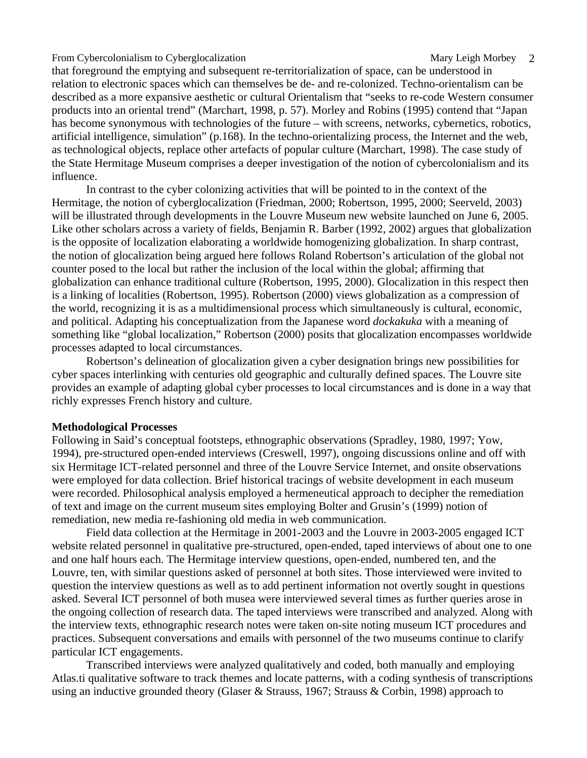that foreground the emptying and subsequent re-territorialization of space, can be understood in relation to electronic spaces which can themselves be de- and re-colonized. Techno-orientalism can be described as a more expansive aesthetic or cultural Orientalism that "seeks to re-code Western consumer products into an oriental trend" (Marchart, 1998, p. 57). Morley and Robins (1995) contend that "Japan has become synonymous with technologies of the future – with screens, networks, cybernetics, robotics, artificial intelligence, simulation" (p.168). In the techno-orientalizing process, the Internet and the web, as technological objects, replace other artefacts of popular culture (Marchart, 1998). The case study of the State Hermitage Museum comprises a deeper investigation of the notion of cybercolonialism and its influence.

In contrast to the cyber colonizing activities that will be pointed to in the context of the Hermitage, the notion of cyberglocalization (Friedman, 2000; Robertson, 1995, 2000; Seerveld, 2003) will be illustrated through developments in the Louvre Museum new website launched on June 6, 2005. Like other scholars across a variety of fields, Benjamin R. Barber (1992, 2002) argues that globalization is the opposite of localization elaborating a worldwide homogenizing globalization. In sharp contrast, the notion of glocalization being argued here follows Roland Robertson's articulation of the global not counter posed to the local but rather the inclusion of the local within the global; affirming that globalization can enhance traditional culture (Robertson, 1995, 2000). Glocalization in this respect then is a linking of localities (Robertson, 1995). Robertson (2000) views globalization as a compression of the world, recognizing it is as a multidimensional process which simultaneously is cultural, economic, and political. Adapting his conceptualization from the Japanese word *dockakuka* with a meaning of something like "global localization," Robertson (2000) posits that glocalization encompasses worldwide processes adapted to local circumstances.

Robertson's delineation of glocalization given a cyber designation brings new possibilities for cyber spaces interlinking with centuries old geographic and culturally defined spaces. The Louvre site provides an example of adapting global cyber processes to local circumstances and is done in a way that richly expresses French history and culture.

#### **Methodological Processes**

Following in Said's conceptual footsteps, ethnographic observations (Spradley, 1980, 1997; Yow, 1994), pre-structured open-ended interviews (Creswell, 1997), ongoing discussions online and off with six Hermitage ICT-related personnel and three of the Louvre Service Internet, and onsite observations were employed for data collection. Brief historical tracings of website development in each museum were recorded. Philosophical analysis employed a hermeneutical approach to decipher the remediation of text and image on the current museum sites employing Bolter and Grusin's (1999) notion of remediation, new media re-fashioning old media in web communication.

 Field data collection at the Hermitage in 2001-2003 and the Louvre in 2003-2005 engaged ICT website related personnel in qualitative pre-structured, open-ended, taped interviews of about one to one and one half hours each. The Hermitage interview questions, open-ended, numbered ten, and the Louvre, ten, with similar questions asked of personnel at both sites. Those interviewed were invited to question the interview questions as well as to add pertinent information not overtly sought in questions asked. Several ICT personnel of both musea were interviewed several times as further queries arose in the ongoing collection of research data. The taped interviews were transcribed and analyzed. Along with the interview texts, ethnographic research notes were taken on-site noting museum ICT procedures and practices. Subsequent conversations and emails with personnel of the two museums continue to clarify particular ICT engagements.

Transcribed interviews were analyzed qualitatively and coded, both manually and employing Atlas.ti qualitative software to track themes and locate patterns, with a coding synthesis of transcriptions using an inductive grounded theory (Glaser & Strauss, 1967; Strauss & Corbin, 1998) approach to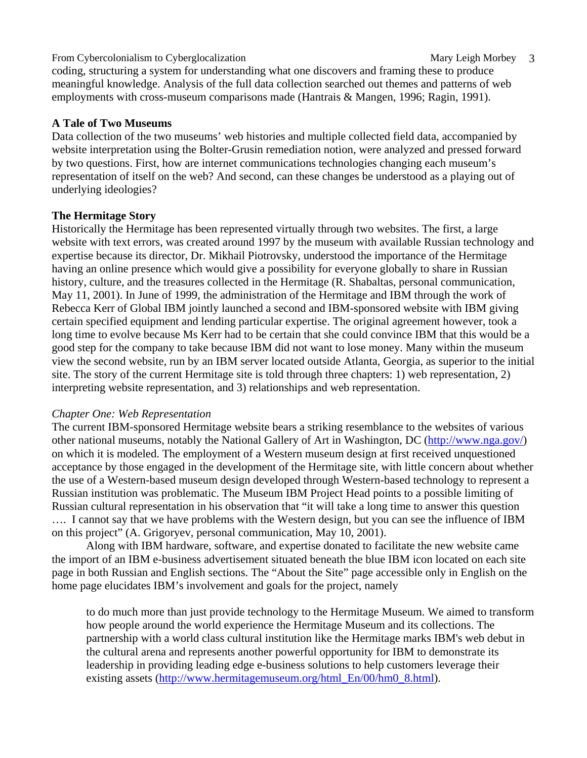coding, structuring a system for understanding what one discovers and framing these to produce meaningful knowledge. Analysis of the full data collection searched out themes and patterns of web employments with cross-museum comparisons made (Hantrais & Mangen, 1996; Ragin, 1991).

### **A Tale of Two Museums**

Data collection of the two museums' web histories and multiple collected field data, accompanied by website interpretation using the Bolter-Grusin remediation notion, were analyzed and pressed forward by two questions. First, how are internet communications technologies changing each museum's representation of itself on the web? And second, can these changes be understood as a playing out of underlying ideologies?

### **The Hermitage Story**

Historically the Hermitage has been represented virtually through two websites. The first, a large website with text errors, was created around 1997 by the museum with available Russian technology and expertise because its director, Dr. Mikhail Piotrovsky, understood the importance of the Hermitage having an online presence which would give a possibility for everyone globally to share in Russian history, culture, and the treasures collected in the Hermitage (R. Shabaltas, personal communication, May 11, 2001). In June of 1999, the administration of the Hermitage and IBM through the work of Rebecca Kerr of Global IBM jointly launched a second and IBM-sponsored website with IBM giving certain specified equipment and lending particular expertise. The original agreement however, took a long time to evolve because Ms Kerr had to be certain that she could convince IBM that this would be a good step for the company to take because IBM did not want to lose money. Many within the museum view the second website, run by an IBM server located outside Atlanta, Georgia, as superior to the initial site. The story of the current Hermitage site is told through three chapters: 1) web representation, 2) interpreting website representation, and 3) relationships and web representation.

#### *Chapter One: Web Representation*

The current IBM-sponsored Hermitage website bears a striking resemblance to the websites of various other national museums, notably the National Gallery of Art in Washington, DC (http://www.nga.gov/) on which it is modeled. The employment of a Western museum design at first received unquestioned acceptance by those engaged in the development of the Hermitage site, with little concern about whether the use of a Western-based museum design developed through Western-based technology to represent a Russian institution was problematic. The Museum IBM Project Head points to a possible limiting of Russian cultural representation in his observation that "it will take a long time to answer this question …. I cannot say that we have problems with the Western design, but you can see the influence of IBM on this project" (A. Grigoryev, personal communication, May 10, 2001).

Along with IBM hardware, software, and expertise donated to facilitate the new website came the import of an IBM e-business advertisement situated beneath the blue IBM icon located on each site page in both Russian and English sections. The "About the Site" page accessible only in English on the home page elucidates IBM's involvement and goals for the project, namely

to do much more than just provide technology to the Hermitage Museum. We aimed to transform how people around the world experience the Hermitage Museum and its collections. The partnership with a world class cultural institution like the Hermitage marks IBM's web debut in the cultural arena and represents another powerful opportunity for IBM to demonstrate its leadership in providing leading edge e-business solutions to help customers leverage their existing assets (http://www.hermitagemuseum.org/html\_En/00/hm0\_8.html).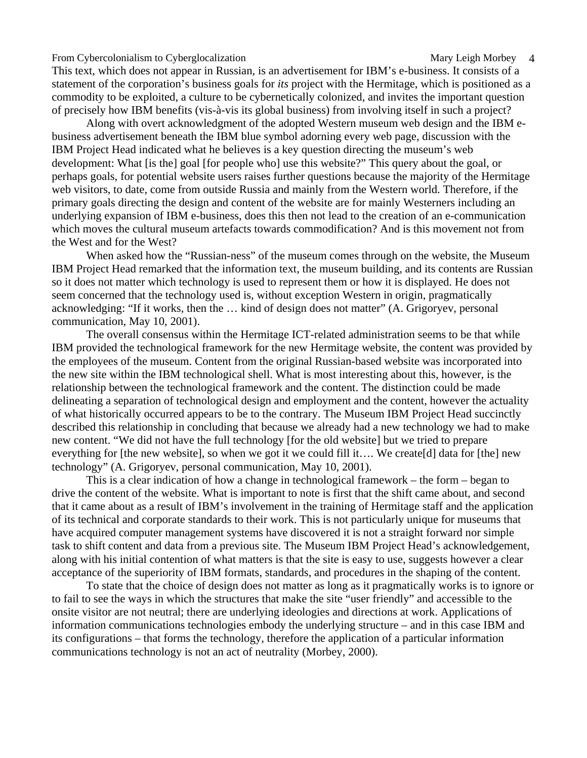This text, which does not appear in Russian, is an advertisement for IBM's e-business. It consists of a statement of the corporation's business goals for *its* project with the Hermitage, which is positioned as a commodity to be exploited, a culture to be cybernetically colonized, and invites the important question of precisely how IBM benefits (vis-à-vis its global business) from involving itself in such a project?

Along with overt acknowledgment of the adopted Western museum web design and the IBM ebusiness advertisement beneath the IBM blue symbol adorning every web page, discussion with the IBM Project Head indicated what he believes is a key question directing the museum's web development: What [is the] goal [for people who] use this website?" This query about the goal, or perhaps goals, for potential website users raises further questions because the majority of the Hermitage web visitors, to date, come from outside Russia and mainly from the Western world. Therefore, if the primary goals directing the design and content of the website are for mainly Westerners including an underlying expansion of IBM e-business, does this then not lead to the creation of an e-communication which moves the cultural museum artefacts towards commodification? And is this movement not from the West and for the West?

When asked how the "Russian-ness" of the museum comes through on the website, the Museum IBM Project Head remarked that the information text, the museum building, and its contents are Russian so it does not matter which technology is used to represent them or how it is displayed. He does not seem concerned that the technology used is, without exception Western in origin, pragmatically acknowledging: "If it works, then the … kind of design does not matter" (A. Grigoryev, personal communication, May 10, 2001).

The overall consensus within the Hermitage ICT-related administration seems to be that while IBM provided the technological framework for the new Hermitage website, the content was provided by the employees of the museum. Content from the original Russian-based website was incorporated into the new site within the IBM technological shell. What is most interesting about this, however, is the relationship between the technological framework and the content. The distinction could be made delineating a separation of technological design and employment and the content, however the actuality of what historically occurred appears to be to the contrary. The Museum IBM Project Head succinctly described this relationship in concluding that because we already had a new technology we had to make new content. "We did not have the full technology [for the old website] but we tried to prepare everything for [the new website], so when we got it we could fill it…. We create[d] data for [the] new technology" (A. Grigoryev, personal communication, May 10, 2001).

This is a clear indication of how a change in technological framework – the form – began to drive the content of the website. What is important to note is first that the shift came about, and second that it came about as a result of IBM's involvement in the training of Hermitage staff and the application of its technical and corporate standards to their work. This is not particularly unique for museums that have acquired computer management systems have discovered it is not a straight forward nor simple task to shift content and data from a previous site. The Museum IBM Project Head's acknowledgement, along with his initial contention of what matters is that the site is easy to use, suggests however a clear acceptance of the superiority of IBM formats, standards, and procedures in the shaping of the content.

To state that the choice of design does not matter as long as it pragmatically works is to ignore or to fail to see the ways in which the structures that make the site "user friendly" and accessible to the onsite visitor are not neutral; there are underlying ideologies and directions at work. Applications of information communications technologies embody the underlying structure – and in this case IBM and its configurations – that forms the technology, therefore the application of a particular information communications technology is not an act of neutrality (Morbey, 2000).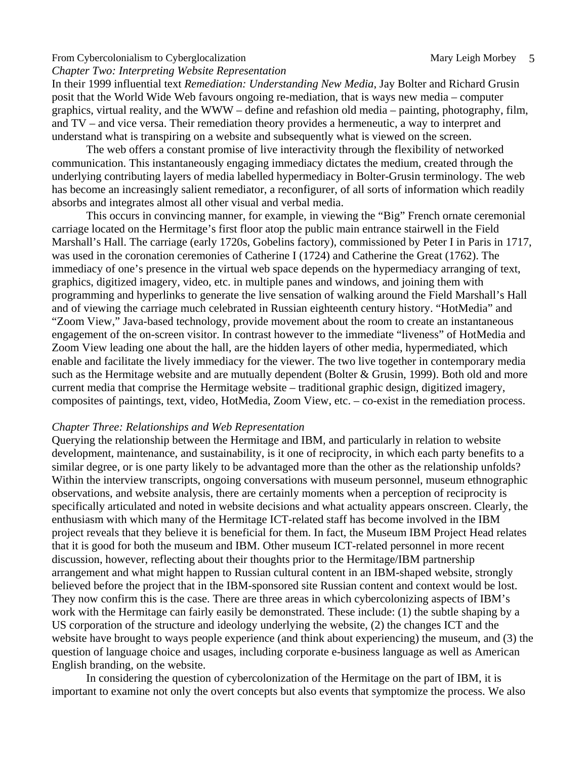*Chapter Two: Interpreting Website Representation* 

In their 1999 influential text *Remediation: Understanding New Media*, Jay Bolter and Richard Grusin posit that the World Wide Web favours ongoing re-mediation, that is ways new media – computer graphics, virtual reality, and the WWW – define and refashion old media – painting, photography, film, and TV – and vice versa. Their remediation theory provides a hermeneutic, a way to interpret and understand what is transpiring on a website and subsequently what is viewed on the screen.

The web offers a constant promise of live interactivity through the flexibility of networked communication. This instantaneously engaging immediacy dictates the medium, created through the underlying contributing layers of media labelled hypermediacy in Bolter-Grusin terminology. The web has become an increasingly salient remediator, a reconfigurer, of all sorts of information which readily absorbs and integrates almost all other visual and verbal media.

This occurs in convincing manner, for example, in viewing the "Big" French ornate ceremonial carriage located on the Hermitage's first floor atop the public main entrance stairwell in the Field Marshall's Hall. The carriage (early 1720s, Gobelins factory), commissioned by Peter I in Paris in 1717, was used in the coronation ceremonies of Catherine I (1724) and Catherine the Great (1762). The immediacy of one's presence in the virtual web space depends on the hypermediacy arranging of text, graphics, digitized imagery, video, etc. in multiple panes and windows, and joining them with programming and hyperlinks to generate the live sensation of walking around the Field Marshall's Hall and of viewing the carriage much celebrated in Russian eighteenth century history. "HotMedia" and "Zoom View," Java-based technology, provide movement about the room to create an instantaneous engagement of the on-screen visitor. In contrast however to the immediate "liveness" of HotMedia and Zoom View leading one about the hall, are the hidden layers of other media, hypermediated, which enable and facilitate the lively immediacy for the viewer. The two live together in contemporary media such as the Hermitage website and are mutually dependent (Bolter & Grusin, 1999). Both old and more current media that comprise the Hermitage website – traditional graphic design, digitized imagery, composites of paintings, text, video, HotMedia, Zoom View, etc. – co-exist in the remediation process.

#### *Chapter Three: Relationships and Web Representation*

Querying the relationship between the Hermitage and IBM, and particularly in relation to website development, maintenance, and sustainability, is it one of reciprocity, in which each party benefits to a similar degree, or is one party likely to be advantaged more than the other as the relationship unfolds? Within the interview transcripts, ongoing conversations with museum personnel, museum ethnographic observations, and website analysis, there are certainly moments when a perception of reciprocity is specifically articulated and noted in website decisions and what actuality appears onscreen. Clearly, the enthusiasm with which many of the Hermitage ICT-related staff has become involved in the IBM project reveals that they believe it is beneficial for them. In fact, the Museum IBM Project Head relates that it is good for both the museum and IBM. Other museum ICT-related personnel in more recent discussion, however, reflecting about their thoughts prior to the Hermitage/IBM partnership arrangement and what might happen to Russian cultural content in an IBM-shaped website, strongly believed before the project that in the IBM-sponsored site Russian content and context would be lost. They now confirm this is the case. There are three areas in which cybercolonizing aspects of IBM's work with the Hermitage can fairly easily be demonstrated. These include: (1) the subtle shaping by a US corporation of the structure and ideology underlying the website, (2) the changes ICT and the website have brought to ways people experience (and think about experiencing) the museum, and (3) the question of language choice and usages, including corporate e-business language as well as American English branding, on the website.

In considering the question of cybercolonization of the Hermitage on the part of IBM, it is important to examine not only the overt concepts but also events that symptomize the process. We also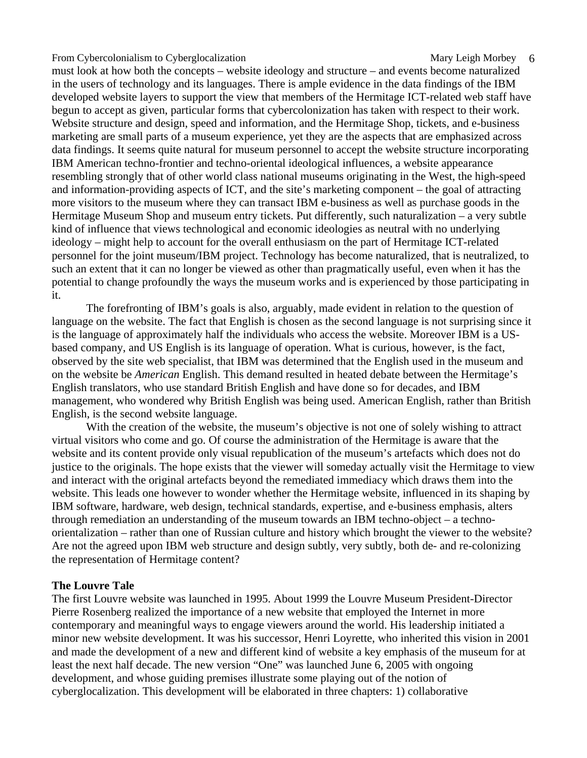must look at how both the concepts – website ideology and structure – and events become naturalized in the users of technology and its languages. There is ample evidence in the data findings of the IBM developed website layers to support the view that members of the Hermitage ICT-related web staff have begun to accept as given, particular forms that cybercolonization has taken with respect to their work. Website structure and design, speed and information, and the Hermitage Shop, tickets, and e-business marketing are small parts of a museum experience, yet they are the aspects that are emphasized across data findings. It seems quite natural for museum personnel to accept the website structure incorporating IBM American techno-frontier and techno-oriental ideological influences, a website appearance resembling strongly that of other world class national museums originating in the West, the high-speed and information-providing aspects of ICT, and the site's marketing component – the goal of attracting more visitors to the museum where they can transact IBM e-business as well as purchase goods in the Hermitage Museum Shop and museum entry tickets. Put differently, such naturalization – a very subtle kind of influence that views technological and economic ideologies as neutral with no underlying ideology – might help to account for the overall enthusiasm on the part of Hermitage ICT-related personnel for the joint museum/IBM project. Technology has become naturalized, that is neutralized, to such an extent that it can no longer be viewed as other than pragmatically useful, even when it has the potential to change profoundly the ways the museum works and is experienced by those participating in it.

The forefronting of IBM's goals is also, arguably, made evident in relation to the question of language on the website. The fact that English is chosen as the second language is not surprising since it is the language of approximately half the individuals who access the website. Moreover IBM is a USbased company, and US English is its language of operation. What is curious, however, is the fact, observed by the site web specialist, that IBM was determined that the English used in the museum and on the website be *American* English. This demand resulted in heated debate between the Hermitage's English translators, who use standard British English and have done so for decades, and IBM management, who wondered why British English was being used. American English, rather than British English, is the second website language.

With the creation of the website, the museum's objective is not one of solely wishing to attract virtual visitors who come and go. Of course the administration of the Hermitage is aware that the website and its content provide only visual republication of the museum's artefacts which does not do justice to the originals. The hope exists that the viewer will someday actually visit the Hermitage to view and interact with the original artefacts beyond the remediated immediacy which draws them into the website. This leads one however to wonder whether the Hermitage website, influenced in its shaping by IBM software, hardware, web design, technical standards, expertise, and e-business emphasis, alters through remediation an understanding of the museum towards an IBM techno-object – a technoorientalization – rather than one of Russian culture and history which brought the viewer to the website? Are not the agreed upon IBM web structure and design subtly, very subtly, both de- and re-colonizing the representation of Hermitage content?

#### **The Louvre Tale**

The first Louvre website was launched in 1995. About 1999 the Louvre Museum President-Director Pierre Rosenberg realized the importance of a new website that employed the Internet in more contemporary and meaningful ways to engage viewers around the world. His leadership initiated a minor new website development. It was his successor, Henri Loyrette, who inherited this vision in 2001 and made the development of a new and different kind of website a key emphasis of the museum for at least the next half decade. The new version "One" was launched June 6, 2005 with ongoing development, and whose guiding premises illustrate some playing out of the notion of cyberglocalization. This development will be elaborated in three chapters: 1) collaborative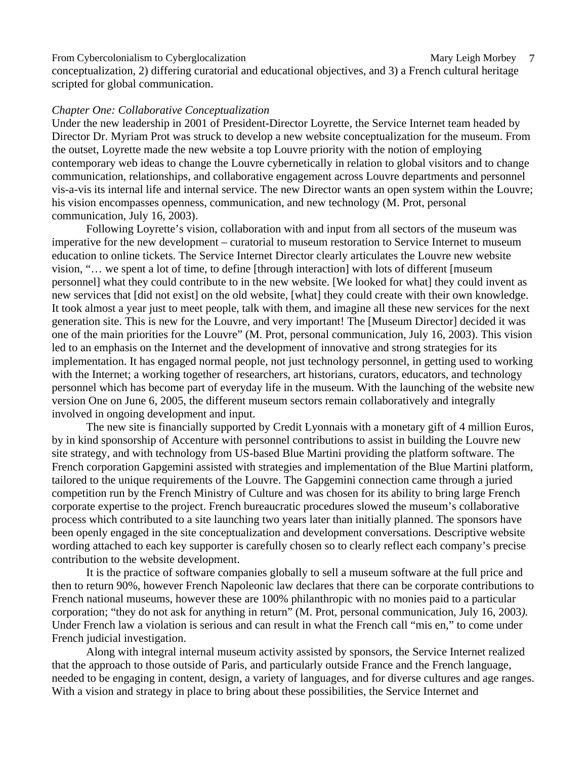conceptualization, 2) differing curatorial and educational objectives, and 3) a French cultural heritage scripted for global communication.

#### *Chapter One: Collaborative Conceptualization*

Under the new leadership in 2001 of President-Director Loyrette, the Service Internet team headed by Director Dr. Myriam Prot was struck to develop a new website conceptualization for the museum. From the outset, Loyrette made the new website a top Louvre priority with the notion of employing contemporary web ideas to change the Louvre cybernetically in relation to global visitors and to change communication, relationships, and collaborative engagement across Louvre departments and personnel vis-a-vis its internal life and internal service. The new Director wants an open system within the Louvre; his vision encompasses openness, communication, and new technology (M. Prot, personal communication, July 16, 2003).

Following Loyrette's vision, collaboration with and input from all sectors of the museum was imperative for the new development – curatorial to museum restoration to Service Internet to museum education to online tickets. The Service Internet Director clearly articulates the Louvre new website vision, "… we spent a lot of time, to define [through interaction] with lots of different [museum personnel] what they could contribute to in the new website. [We looked for what] they could invent as new services that [did not exist] on the old website, [what] they could create with their own knowledge. It took almost a year just to meet people, talk with them, and imagine all these new services for the next generation site. This is new for the Louvre, and very important! The [Museum Director] decided it was one of the main priorities for the Louvre" (M. Prot, personal communication, July 16, 2003). This vision led to an emphasis on the Internet and the development of innovative and strong strategies for its implementation. It has engaged normal people, not just technology personnel, in getting used to working with the Internet; a working together of researchers, art historians, curators, educators, and technology personnel which has become part of everyday life in the museum. With the launching of the website new version One on June 6, 2005, the different museum sectors remain collaboratively and integrally involved in ongoing development and input.

The new site is financially supported by Credit Lyonnais with a monetary gift of 4 million Euros, by in kind sponsorship of Accenture with personnel contributions to assist in building the Louvre new site strategy, and with technology from US-based Blue Martini providing the platform software. The French corporation Gapgemini assisted with strategies and implementation of the Blue Martini platform, tailored to the unique requirements of the Louvre. The Gapgemini connection came through a juried competition run by the French Ministry of Culture and was chosen for its ability to bring large French corporate expertise to the project. French bureaucratic procedures slowed the museum's collaborative process which contributed to a site launching two years later than initially planned. The sponsors have been openly engaged in the site conceptualization and development conversations. Descriptive website wording attached to each key supporter is carefully chosen so to clearly reflect each company's precise contribution to the website development.

It is the practice of software companies globally to sell a museum software at the full price and then to return 90%, however French Napoleonic law declares that there can be corporate contributions to French national museums, however these are 100% philanthropic with no monies paid to a particular corporation; "they do not ask for anything in return" (M. Prot, personal communication, July 16, 2003*).* Under French law a violation is serious and can result in what the French call "mis en," to come under French judicial investigation.

Along with integral internal museum activity assisted by sponsors, the Service Internet realized that the approach to those outside of Paris, and particularly outside France and the French language, needed to be engaging in content, design, a variety of languages, and for diverse cultures and age ranges. With a vision and strategy in place to bring about these possibilities, the Service Internet and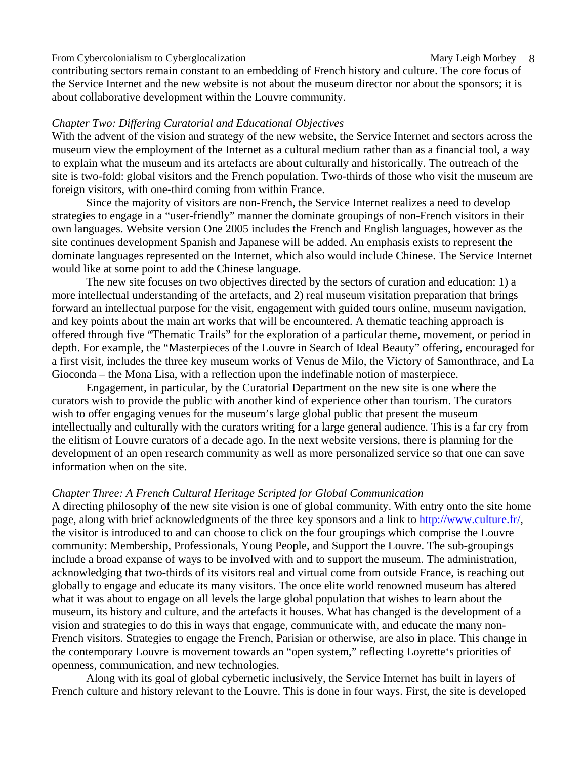contributing sectors remain constant to an embedding of French history and culture. The core focus of the Service Internet and the new website is not about the museum director nor about the sponsors; it is about collaborative development within the Louvre community.

#### *Chapter Two: Differing Curatorial and Educational Objectives*

With the advent of the vision and strategy of the new website, the Service Internet and sectors across the museum view the employment of the Internet as a cultural medium rather than as a financial tool, a way to explain what the museum and its artefacts are about culturally and historically. The outreach of the site is two-fold: global visitors and the French population. Two-thirds of those who visit the museum are foreign visitors, with one-third coming from within France.

Since the majority of visitors are non-French, the Service Internet realizes a need to develop strategies to engage in a "user-friendly" manner the dominate groupings of non-French visitors in their own languages. Website version One 2005 includes the French and English languages, however as the site continues development Spanish and Japanese will be added. An emphasis exists to represent the dominate languages represented on the Internet, which also would include Chinese. The Service Internet would like at some point to add the Chinese language.

The new site focuses on two objectives directed by the sectors of curation and education: 1) a more intellectual understanding of the artefacts, and 2) real museum visitation preparation that brings forward an intellectual purpose for the visit, engagement with guided tours online, museum navigation, and key points about the main art works that will be encountered. A thematic teaching approach is offered through five "Thematic Trails" for the exploration of a particular theme, movement, or period in depth. For example, the "Masterpieces of the Louvre in Search of Ideal Beauty" offering, encouraged for a first visit, includes the three key museum works of Venus de Milo, the Victory of Samonthrace, and La Gioconda – the Mona Lisa, with a reflection upon the indefinable notion of masterpiece.

Engagement, in particular, by the Curatorial Department on the new site is one where the curators wish to provide the public with another kind of experience other than tourism. The curators wish to offer engaging venues for the museum's large global public that present the museum intellectually and culturally with the curators writing for a large general audience. This is a far cry from the elitism of Louvre curators of a decade ago. In the next website versions, there is planning for the development of an open research community as well as more personalized service so that one can save information when on the site.

#### *Chapter Three: A French Cultural Heritage Scripted for Global Communication*

A directing philosophy of the new site vision is one of global community. With entry onto the site home page, along with brief acknowledgments of the three key sponsors and a link to http://www.culture.fr/, the visitor is introduced to and can choose to click on the four groupings which comprise the Louvre community: Membership, Professionals, Young People, and Support the Louvre. The sub-groupings include a broad expanse of ways to be involved with and to support the museum. The administration, acknowledging that two-thirds of its visitors real and virtual come from outside France, is reaching out globally to engage and educate its many visitors. The once elite world renowned museum has altered what it was about to engage on all levels the large global population that wishes to learn about the museum, its history and culture, and the artefacts it houses. What has changed is the development of a vision and strategies to do this in ways that engage, communicate with, and educate the many non-French visitors. Strategies to engage the French, Parisian or otherwise, are also in place. This change in the contemporary Louvre is movement towards an "open system," reflecting Loyrette's priorities of openness, communication, and new technologies.

Along with its goal of global cybernetic inclusively, the Service Internet has built in layers of French culture and history relevant to the Louvre. This is done in four ways. First, the site is developed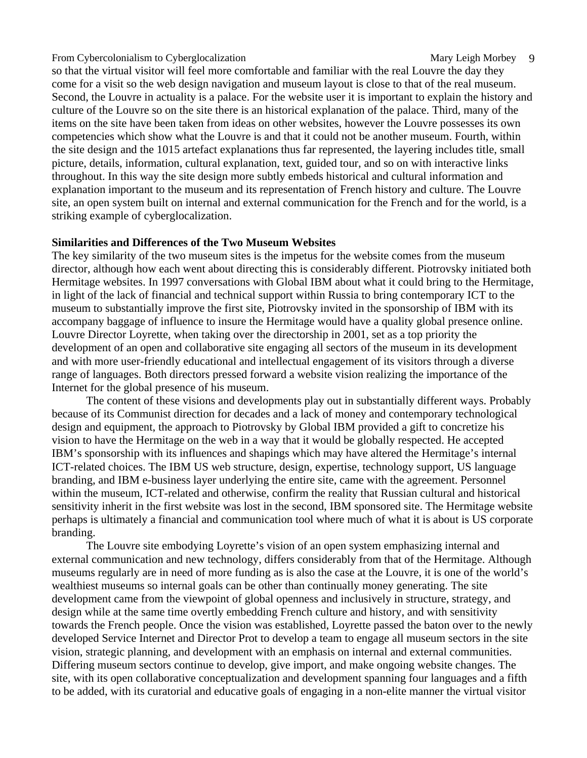so that the virtual visitor will feel more comfortable and familiar with the real Louvre the day they come for a visit so the web design navigation and museum layout is close to that of the real museum. Second, the Louvre in actuality is a palace. For the website user it is important to explain the history and culture of the Louvre so on the site there is an historical explanation of the palace. Third, many of the items on the site have been taken from ideas on other websites, however the Louvre possesses its own competencies which show what the Louvre is and that it could not be another museum. Fourth, within the site design and the 1015 artefact explanations thus far represented, the layering includes title, small picture, details, information, cultural explanation, text, guided tour, and so on with interactive links throughout. In this way the site design more subtly embeds historical and cultural information and explanation important to the museum and its representation of French history and culture. The Louvre site, an open system built on internal and external communication for the French and for the world, is a striking example of cyberglocalization.

## **Similarities and Differences of the Two Museum Websites**

The key similarity of the two museum sites is the impetus for the website comes from the museum director, although how each went about directing this is considerably different. Piotrovsky initiated both Hermitage websites. In 1997 conversations with Global IBM about what it could bring to the Hermitage, in light of the lack of financial and technical support within Russia to bring contemporary ICT to the museum to substantially improve the first site, Piotrovsky invited in the sponsorship of IBM with its accompany baggage of influence to insure the Hermitage would have a quality global presence online. Louvre Director Loyrette, when taking over the directorship in 2001, set as a top priority the development of an open and collaborative site engaging all sectors of the museum in its development and with more user-friendly educational and intellectual engagement of its visitors through a diverse range of languages. Both directors pressed forward a website vision realizing the importance of the Internet for the global presence of his museum.

The content of these visions and developments play out in substantially different ways. Probably because of its Communist direction for decades and a lack of money and contemporary technological design and equipment, the approach to Piotrovsky by Global IBM provided a gift to concretize his vision to have the Hermitage on the web in a way that it would be globally respected. He accepted IBM's sponsorship with its influences and shapings which may have altered the Hermitage's internal ICT-related choices. The IBM US web structure, design, expertise, technology support, US language branding, and IBM e-business layer underlying the entire site, came with the agreement. Personnel within the museum, ICT-related and otherwise, confirm the reality that Russian cultural and historical sensitivity inherit in the first website was lost in the second, IBM sponsored site. The Hermitage website perhaps is ultimately a financial and communication tool where much of what it is about is US corporate branding.

The Louvre site embodying Loyrette's vision of an open system emphasizing internal and external communication and new technology, differs considerably from that of the Hermitage. Although museums regularly are in need of more funding as is also the case at the Louvre, it is one of the world's wealthiest museums so internal goals can be other than continually money generating. The site development came from the viewpoint of global openness and inclusively in structure, strategy, and design while at the same time overtly embedding French culture and history, and with sensitivity towards the French people. Once the vision was established, Loyrette passed the baton over to the newly developed Service Internet and Director Prot to develop a team to engage all museum sectors in the site vision, strategic planning, and development with an emphasis on internal and external communities. Differing museum sectors continue to develop, give import, and make ongoing website changes. The site, with its open collaborative conceptualization and development spanning four languages and a fifth to be added, with its curatorial and educative goals of engaging in a non-elite manner the virtual visitor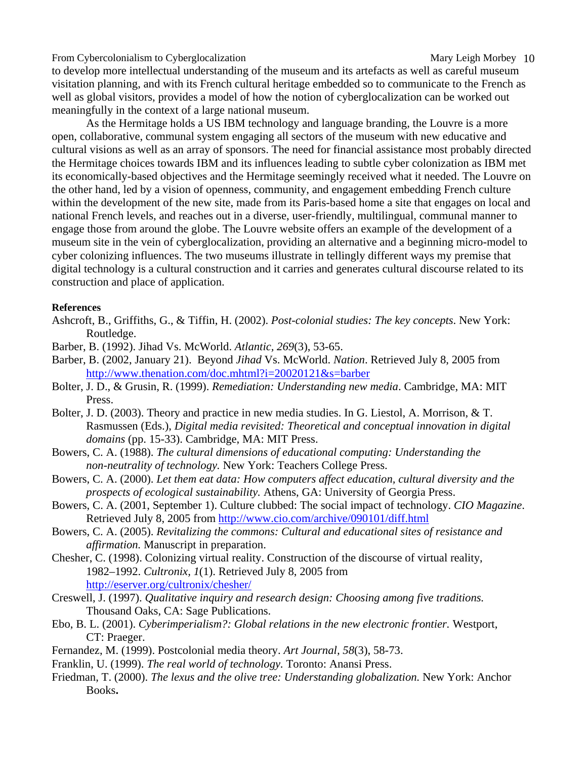to develop more intellectual understanding of the museum and its artefacts as well as careful museum visitation planning, and with its French cultural heritage embedded so to communicate to the French as well as global visitors, provides a model of how the notion of cyberglocalization can be worked out meaningfully in the context of a large national museum.

As the Hermitage holds a US IBM technology and language branding, the Louvre is a more open, collaborative, communal system engaging all sectors of the museum with new educative and cultural visions as well as an array of sponsors. The need for financial assistance most probably directed the Hermitage choices towards IBM and its influences leading to subtle cyber colonization as IBM met its economically-based objectives and the Hermitage seemingly received what it needed. The Louvre on the other hand, led by a vision of openness, community, and engagement embedding French culture within the development of the new site, made from its Paris-based home a site that engages on local and national French levels, and reaches out in a diverse, user-friendly, multilingual, communal manner to engage those from around the globe. The Louvre website offers an example of the development of a museum site in the vein of cyberglocalization, providing an alternative and a beginning micro-model to cyber colonizing influences. The two museums illustrate in tellingly different ways my premise that digital technology is a cultural construction and it carries and generates cultural discourse related to its construction and place of application.

#### **References**

- Ashcroft, B., Griffiths, G., & Tiffin, H. (2002). *Post-colonial studies: The key concepts*. New York: Routledge.
- Barber, B. (1992). Jihad Vs. McWorld. *Atlantic, 269*(3), 53-65.
- Barber, B. (2002, January 21). Beyond *Jihad* Vs. McWorld. *Nation*. Retrieved July 8, 2005 from http://www.thenation.com/doc.mhtml?i=20020121&s=barber
- Bolter, J. D., & Grusin, R. (1999). *Remediation: Understanding new media*. Cambridge, MA: MIT Press.
- Bolter, J. D. (2003). Theory and practice in new media studies. In G. Liestol, A. Morrison, & T. Rasmussen (Eds.), *Digital media revisited: Theoretical and conceptual innovation in digital domains* (pp. 15-33). Cambridge, MA: MIT Press.
- Bowers, C. A. (1988). *The cultural dimensions of educational computing: Understanding the non-neutrality of technology.* New York: Teachers College Press.
- Bowers, C. A. (2000). *Let them eat data: How computers affect education, cultural diversity and the prospects of ecological sustainability.* Athens, GA: University of Georgia Press.
- Bowers, C. A. (2001, September 1). Culture clubbed: The social impact of technology. *CIO Magazine*. Retrieved July 8, 2005 from http://www.cio.com/archive/090101/diff.html
- Bowers, C. A. (2005). *Revitalizing the commons: Cultural and educational sites of resistance and affirmation.* Manuscript in preparation.
- Chesher, C. (1998). Colonizing virtual reality. Construction of the discourse of virtual reality, 1982–1992. *Cultronix, 1*(1). Retrieved July 8, 2005 from http://eserver.org/cultronix/chesher/
- Creswell, J. (1997). *Qualitative inquiry and research design: Choosing among five traditions.*  Thousand Oaks, CA: Sage Publications.
- Ebo, B. L. (2001). *Cyberimperialism?: Global relations in the new electronic frontier.* Westport, CT: Praeger.
- Fernandez, M. (1999). Postcolonial media theory. *Art Journal, 58*(3), 58-73.
- Franklin, U. (1999). *The real world of technology.* Toronto: Anansi Press.
- Friedman, T. (2000). *The lexus and the olive tree: Understanding globalization.* New York: Anchor Books**.**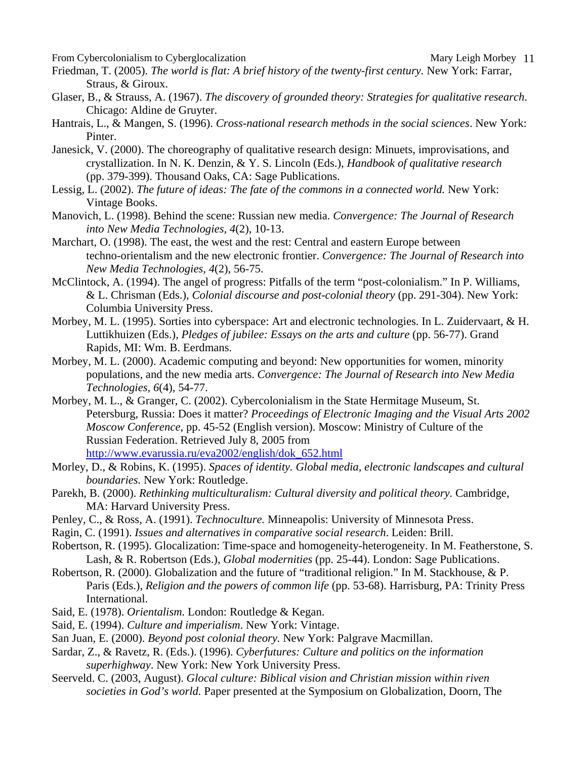- Friedman, T. (2005). *The world is flat: A brief history of the twenty-first century.* New York: Farrar, Straus, & Giroux.
- Glaser, B., & Strauss, A. (1967). *The discovery of grounded theory: Strategies for qualitative research*. Chicago: Aldine de Gruyter.
- Hantrais, L., & Mangen, S. (1996). *Cross-national research methods in the social sciences*. New York: Pinter.
- Janesick, V. (2000). The choreography of qualitative research design: Minuets, improvisations, and crystallization. In N. K. Denzin, & Y. S. Lincoln (Eds.), *Handbook of qualitative research* (pp. 379-399). Thousand Oaks, CA: Sage Publications.
- Lessig, L. (2002). *The future of ideas: The fate of the commons in a connected world.* New York: Vintage Books.
- Manovich, L. (1998). Behind the scene: Russian new media. *Convergence: The Journal of Research into New Media Technologies, 4*(2), 10-13.
- Marchart, O. (1998). The east, the west and the rest: Central and eastern Europe between techno-orientalism and the new electronic frontier. *Convergence: The Journal of Research into New Media Technologies, 4*(2), 56-75.
- McClintock, A. (1994). The angel of progress: Pitfalls of the term "post-colonialism." In P. Williams, & L. Chrisman (Eds.), *Colonial discourse and post-colonial theory* (pp. 291-304). New York: Columbia University Press.
- Morbey, M. L. (1995). Sorties into cyberspace: Art and electronic technologies. In L. Zuidervaart, & H. Luttikhuizen (Eds.), *Pledges of jubilee: Essays on the arts and culture* (pp. 56-77). Grand Rapids, MI: Wm. B. Eerdmans.
- Morbey, M. L. (2000). Academic computing and beyond: New opportunities for women, minority populations, and the new media arts. *Convergence: The Journal of Research into New Media Technologies, 6*(4), 54-77.
- Morbey, M. L., & Granger, C. (2002). Cybercolonialism in the State Hermitage Museum, St. Petersburg, Russia: Does it matter? *Proceedings of Electronic Imaging and the Visual Arts 2002 Moscow Conference*, pp. 45-52 (English version). Moscow: Ministry of Culture of the Russian Federation. Retrieved July 8, 2005 from http://www.evarussia.ru/eva2002/english/dok\_652.html
- Morley, D., & Robins, K. (1995). *Spaces of identity. Global media, electronic landscapes and cultural boundaries.* New York: Routledge.
- Parekh, B. (2000). *Rethinking multiculturalism: Cultural diversity and political theory.* Cambridge, MA: Harvard University Press.
- Penley, C., & Ross, A. (1991). *Technoculture.* Minneapolis: University of Minnesota Press.
- Ragin, C. (1991). *Issues and alternatives in comparative social research*. Leiden: Brill.
- Robertson, R. (1995). Glocalization: Time-space and homogeneity-heterogeneity. In M. Featherstone, S. Lash, & R. Robertson (Eds.), *Global modernities* (pp. 25-44). London: Sage Publications.
- Robertson, R. (2000). Globalization and the future of "traditional religion." In M. Stackhouse, & P. Paris (Eds.), *Religion and the powers of common life* (pp. 53-68). Harrisburg, PA: Trinity Press International.
- Said, E. (1978). *Orientalism.* London: Routledge & Kegan.
- Said, E. (1994). *Culture and imperialism*. New York: Vintage.
- San Juan, E. (2000). *Beyond post colonial theory.* New York: Palgrave Macmillan.
- Sardar, Z., & Ravetz, R. (Eds.). (1996). *Cyberfutures: Culture and politics on the information superhighway*. New York: New York University Press.
- Seerveld. C. (2003, August). *Glocal culture: Biblical vision and Christian mission within riven societies in God's world.* Paper presented at the Symposium on Globalization, Doorn, The